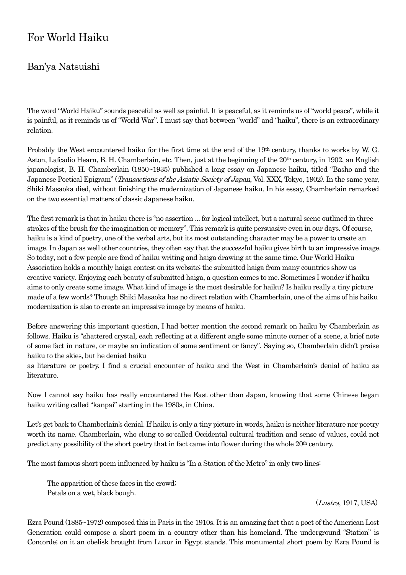## For World Haiku

## Ban'ya Natsuishi

The word "World Haiku" sounds peaceful as well as painful. It is peaceful, as it reminds us of "world peace", while it is painful, as it reminds us of "World War". I must say that between "world" and "haiku", there is an extraordinary relation.

Probably the West encountered haiku for the first time at the end of the 19th century, thanks to works by W. G. Aston, Lafcadio Hearn, B. H. Chamberlain, etc. Then, just at the beginning of the 20<sup>th</sup> century, in 1902, an English japanologist, B. H. Chamberlain (1850~1935) published a long essay on Japanese haiku, titled "Basho and the Japanese Poetical Epigram" (Transactions of the Asiatic Society of Japan, Vol. XXX, Tokyo, 1902). In the same year, Shiki Masaoka died, without finishing the modernization of Japanese haiku. In his essay, Chamberlain remarked on the two essential matters of classic Japanese haiku.

The first remark is that in haiku there is "no assertion ... for logical intellect, but a natural scene outlined in three strokes of the brush for the imagination or memory". This remark is quite persuasive even in our days. Of course, haiku is a kind of poetry, one of the verbal arts, but its most outstanding character may be a power to create an image. In Japan as well other countries, they often say that the successful haiku gives birth to an impressive image. So today, not a few people are fond of haiku writing and haiga drawing at the same time. Our World Haiku Association holds a monthly haiga contest on its website; the submitted haiga from many countries show us creative variety. Enjoying each beauty of submitted haiga, a question comes to me. Sometimes I wonder if haiku aims to only create some image. What kind of image is the most desirable for haiku? Is haiku really a tiny picture made of a few words? Though Shiki Masaoka has no direct relation with Chamberlain, one of the aims of his haiku modernization is also to create an impressive image by means of haiku.

Before answering this important question, I had better mention the second remark on haiku by Chamberlain as follows. Haiku is "shattered crystal, each reflecting at a different angle some minute corner of a scene, a brief note of some fact in nature, or maybe an indication of some sentiment or fancy". Saying so, Chamberlain didn't praise haiku to the skies, but he denied haiku

as literature or poetry. I find a crucial encounter of haiku and the West in Chamberlain's denial of haiku as literature.

Now I cannot say haiku has really encountered the East other than Japan, knowing that some Chinese began haiku writing called "kanpai" starting in the 1980s, in China.

Let's get back to Chamberlain's denial. If haiku is only a tiny picture in words, haiku is neither literature nor poetry worth its name. Chamberlain, who clung to so-called Occidental cultural tradition and sense of values, could not predict any possibility of the short poetry that in fact came into flower during the whole 20th century.

The most famous short poem influenced by haiku is "In a Station of the Metro"in only two lines:

 The apparition of these faces in the crowd; Petals on a wet, black bough.

(Lustra, 1917, USA)

Ezra Pound (1885~1972) composed this in Paris in the 1910s. It is an amazing fact that a poet of the American Lost Generation could compose a short poem in a country other than his homeland. The underground "Station" is Concorde; on it an obelisk brought from Luxor in Egypt stands. This monumental short poem by Ezra Pound is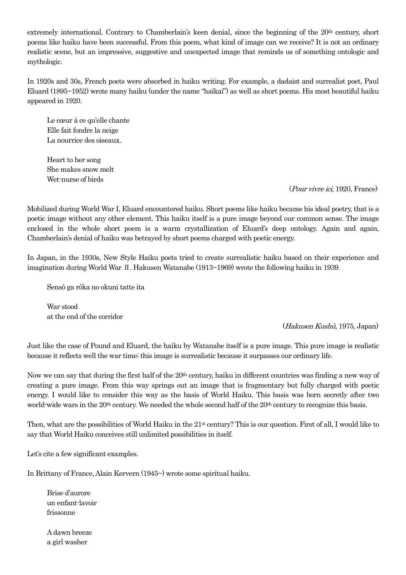extremely international. Contrary to Chamberlain's keen denial, since the beginning of the 20<sup>th</sup> century, short poems like haiku have been successful. From this poem, what kind of image can we receive? It is not an ordinary realistic scene, but an impressive, suggestive and unexpected image that reminds us of something ontologic and mythologic.

In 1920s and 30s, French poets were absorbed in haiku writing. For example, a dadaist and surrealist poet, Paul Eluard (1895~1952) wrote many haiku (under the name "haïkaï") as well as short poems. His most beautiful haiku appeared in 1920.

Le cœur à ce qu'elle chante Elle fait fondre la neige La nourrice des oiseaux.

 Heart to her song She makes snow melt Wet-nurse of birds

## (Pour vivre ici, 1920, France)

Mobilized during World War I, Eluard encountered haiku. Short poems like haiku became his ideal poetry, that is a poetic image without any other element. This haiku itself is a pure image beyond our common sense. The image enclosed in the whole short poem is a warm crystallization of Eluard's deep ontology. Again and again, Chamberlain's denial of haiku was betrayed by short poems charged with poetic energy.

In Japan, in the 1930s, New Style Haiku poets tried to create surrealistic haiku based on their experience and imagination during World War Ⅱ. Hakusen Watanabe (1913~1969) wrote the following haiku in 1939.

Sensô ga rôka no okuni tatte ita

 War stood at the end of the corridor

(Hakusen Kushû, 1975, Japan)

Just like the case of Pound and Eluard, the haiku by Watanabe itself is a pure image. This pure image is realistic because it reflects well the war time; this image is surrealistic because it surpasses our ordinary life.

Now we can say that during the first half of the 20th century, haiku in different countries was finding a new way of creating a pure image. From this way springs out an image that is fragmentary but fully charged with poetic energy. I would like to consider this way as the basis of World Haiku. This basis was born secretly after two world-wide wars in the 20<sup>th</sup> century. We needed the whole second half of the 20<sup>th</sup> century to recognize this basis.

Then, what are the possibilities of World Haiku in the  $21<sup>st</sup>$  century? This is our question. First of all, I would like to say that World Haiku conceives still unlimited possibilities in itself.

Let's cite a few significant examples.

In Brittany of France, Alain Kervern (1945~) wrote some spiritual haiku.

 Brise d'aurore un enfant-lavoir frissonne

 A dawn breeze a girl washer